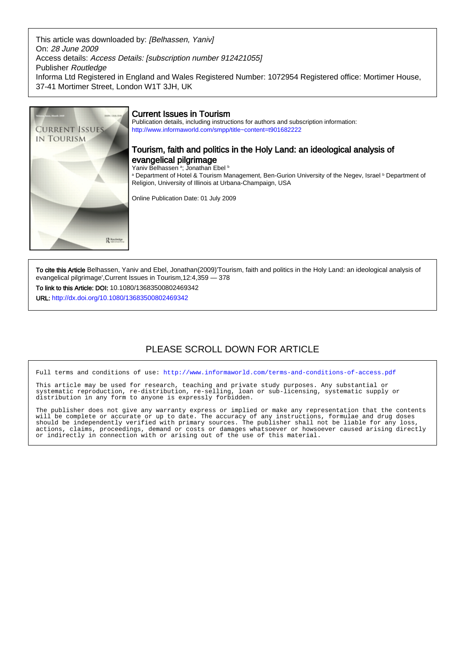This article was downloaded by: [Belhassen, Yaniv] On: 28 June 2009 Access details: Access Details: [subscription number 912421055] Publisher Routledge Informa Ltd Registered in England and Wales Registered Number: 1072954 Registered office: Mortimer House, 37-41 Mortimer Street, London W1T 3JH, UK



To cite this Article Belhassen, Yaniv and Ebel, Jonathan(2009)'Tourism, faith and politics in the Holy Land: an ideological analysis of evangelical pilgrimage',Current Issues in Tourism,12:4,359 — 378

To link to this Article: DOI: 10.1080/13683500802469342 URL: <http://dx.doi.org/10.1080/13683500802469342>

# PLEASE SCROLL DOWN FOR ARTICLE

Full terms and conditions of use:<http://www.informaworld.com/terms-and-conditions-of-access.pdf>

This article may be used for research, teaching and private study purposes. Any substantial or systematic reproduction, re-distribution, re-selling, loan or sub-licensing, systematic supply or distribution in any form to anyone is expressly forbidden.

The publisher does not give any warranty express or implied or make any representation that the contents will be complete or accurate or up to date. The accuracy of any instructions, formulae and drug doses should be independently verified with primary sources. The publisher shall not be liable for any loss, actions, claims, proceedings, demand or costs or damages whatsoever or howsoever caused arising directly or indirectly in connection with or arising out of the use of this material.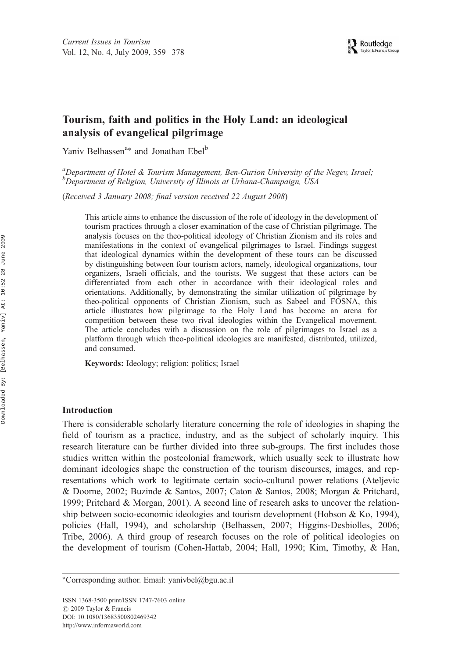# Tourism, faith and politics in the Holy Land: an ideological analysis of evangelical pilgrimage

Yaniv Belhassen<sup>a\*</sup> and Jonathan Ebel<sup>b</sup>

<sup>a</sup>Department of Hotel & Tourism Management, Ben-Gurion University of the Negev, Israel; <sup>b</sup>Department of Religion, University of Illinois at Urbana-Champaign, USA

(Received 3 January 2008; final version received 22 August 2008)

This article aims to enhance the discussion of the role of ideology in the development of tourism practices through a closer examination of the case of Christian pilgrimage. The analysis focuses on the theo-political ideology of Christian Zionism and its roles and manifestations in the context of evangelical pilgrimages to Israel. Findings suggest that ideological dynamics within the development of these tours can be discussed by distinguishing between four tourism actors, namely, ideological organizations, tour organizers, Israeli officials, and the tourists. We suggest that these actors can be differentiated from each other in accordance with their ideological roles and orientations. Additionally, by demonstrating the similar utilization of pilgrimage by theo-political opponents of Christian Zionism, such as Sabeel and FOSNA, this article illustrates how pilgrimage to the Holy Land has become an arena for competition between these two rival ideologies within the Evangelical movement. The article concludes with a discussion on the role of pilgrimages to Israel as a platform through which theo-political ideologies are manifested, distributed, utilized, and consumed.

Keywords: Ideology; religion; politics; Israel

# Introduction

There is considerable scholarly literature concerning the role of ideologies in shaping the field of tourism as a practice, industry, and as the subject of scholarly inquiry. This research literature can be further divided into three sub-groups. The first includes those studies written within the postcolonial framework, which usually seek to illustrate how dominant ideologies shape the construction of the tourism discourses, images, and representations which work to legitimate certain socio-cultural power relations (Ateljevic & Doorne, 2002; Buzinde & Santos, 2007; Caton & Santos, 2008; Morgan & Pritchard, 1999; Pritchard & Morgan, 2001). A second line of research asks to uncover the relationship between socio-economic ideologies and tourism development (Hobson & Ko, 1994), policies (Hall, 1994), and scholarship (Belhassen, 2007; Higgins-Desbiolles, 2006; Tribe, 2006). A third group of research focuses on the role of political ideologies on the development of tourism (Cohen-Hattab, 2004; Hall, 1990; Kim, Timothy, & Han,

ISSN 1368-3500 print/ISSN 1747-7603 online C 2009 Taylor & Francis DOI: 10.1080/13683500802469342 http://www.informaworld.com

<sup>-</sup>Corresponding author. Email: yanivbel@bgu.ac.il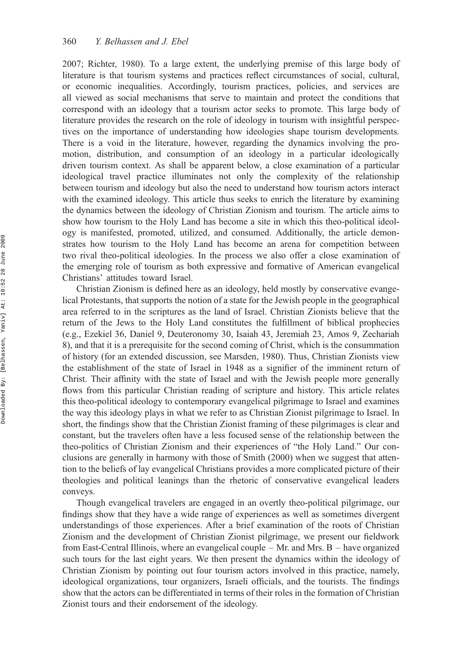2007; Richter, 1980). To a large extent, the underlying premise of this large body of literature is that tourism systems and practices reflect circumstances of social, cultural, or economic inequalities. Accordingly, tourism practices, policies, and services are all viewed as social mechanisms that serve to maintain and protect the conditions that correspond with an ideology that a tourism actor seeks to promote. This large body of literature provides the research on the role of ideology in tourism with insightful perspectives on the importance of understanding how ideologies shape tourism developments. There is a void in the literature, however, regarding the dynamics involving the promotion, distribution, and consumption of an ideology in a particular ideologically driven tourism context. As shall be apparent below, a close examination of a particular ideological travel practice illuminates not only the complexity of the relationship between tourism and ideology but also the need to understand how tourism actors interact with the examined ideology. This article thus seeks to enrich the literature by examining the dynamics between the ideology of Christian Zionism and tourism. The article aims to show how tourism to the Holy Land has become a site in which this theo-political ideology is manifested, promoted, utilized, and consumed. Additionally, the article demonstrates how tourism to the Holy Land has become an arena for competition between two rival theo-political ideologies. In the process we also offer a close examination of the emerging role of tourism as both expressive and formative of American evangelical Christians' attitudes toward Israel.

Christian Zionism is defined here as an ideology, held mostly by conservative evangelical Protestants, that supports the notion of a state for the Jewish people in the geographical area referred to in the scriptures as the land of Israel. Christian Zionists believe that the return of the Jews to the Holy Land constitutes the fulfillment of biblical prophecies (e.g., Ezekiel 36, Daniel 9, Deuteronomy 30, Isaiah 43, Jeremiah 23, Amos 9, Zechariah 8), and that it is a prerequisite for the second coming of Christ, which is the consummation of history (for an extended discussion, see Marsden, 1980). Thus, Christian Zionists view the establishment of the state of Israel in 1948 as a signifier of the imminent return of Christ. Their affinity with the state of Israel and with the Jewish people more generally flows from this particular Christian reading of scripture and history. This article relates this theo-political ideology to contemporary evangelical pilgrimage to Israel and examines the way this ideology plays in what we refer to as Christian Zionist pilgrimage to Israel. In short, the findings show that the Christian Zionist framing of these pilgrimages is clear and constant, but the travelers often have a less focused sense of the relationship between the theo-politics of Christian Zionism and their experiences of "the Holy Land." Our conclusions are generally in harmony with those of Smith (2000) when we suggest that attention to the beliefs of lay evangelical Christians provides a more complicated picture of their theologies and political leanings than the rhetoric of conservative evangelical leaders conveys.

Though evangelical travelers are engaged in an overtly theo-political pilgrimage, our findings show that they have a wide range of experiences as well as sometimes divergent understandings of those experiences. After a brief examination of the roots of Christian Zionism and the development of Christian Zionist pilgrimage, we present our fieldwork from East-Central Illinois, where an evangelical couple – Mr. and Mrs. B – have organized such tours for the last eight years. We then present the dynamics within the ideology of Christian Zionism by pointing out four tourism actors involved in this practice, namely, ideological organizations, tour organizers, Israeli officials, and the tourists. The findings show that the actors can be differentiated in terms of their roles in the formation of Christian Zionist tours and their endorsement of the ideology.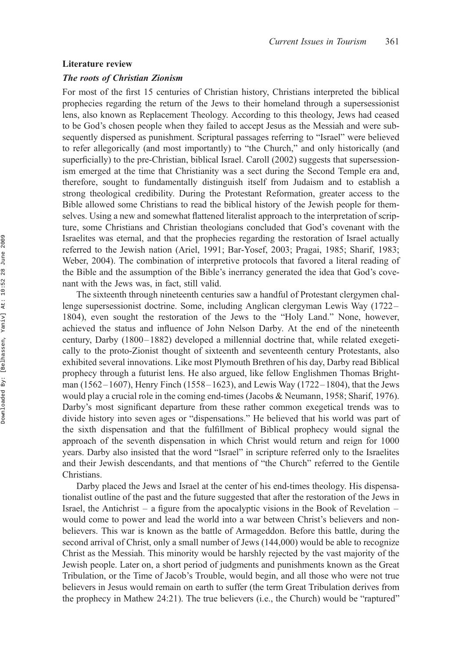#### Literature review

#### The roots of Christian Zionism

For most of the first 15 centuries of Christian history, Christians interpreted the biblical prophecies regarding the return of the Jews to their homeland through a supersessionist lens, also known as Replacement Theology. According to this theology, Jews had ceased to be God's chosen people when they failed to accept Jesus as the Messiah and were subsequently dispersed as punishment. Scriptural passages referring to "Israel" were believed to refer allegorically (and most importantly) to "the Church," and only historically (and superficially) to the pre-Christian, biblical Israel. Caroll (2002) suggests that supersessionism emerged at the time that Christianity was a sect during the Second Temple era and, therefore, sought to fundamentally distinguish itself from Judaism and to establish a strong theological credibility. During the Protestant Reformation, greater access to the Bible allowed some Christians to read the biblical history of the Jewish people for themselves. Using a new and somewhat flattened literalist approach to the interpretation of scripture, some Christians and Christian theologians concluded that God's covenant with the Israelites was eternal, and that the prophecies regarding the restoration of Israel actually referred to the Jewish nation (Ariel, 1991; Bar-Yosef, 2003; Pragai, 1985; Sharif, 1983; Weber, 2004). The combination of interpretive protocols that favored a literal reading of the Bible and the assumption of the Bible's inerrancy generated the idea that God's covenant with the Jews was, in fact, still valid.

The sixteenth through nineteenth centuries saw a handful of Protestant clergymen challenge supersessionist doctrine. Some, including Anglican clergyman Lewis Way (1722 – 1804), even sought the restoration of the Jews to the "Holy Land." None, however, achieved the status and influence of John Nelson Darby. At the end of the nineteenth century, Darby (1800– 1882) developed a millennial doctrine that, while related exegetically to the proto-Zionist thought of sixteenth and seventeenth century Protestants, also exhibited several innovations. Like most Plymouth Brethren of his day, Darby read Biblical prophecy through a futurist lens. He also argued, like fellow Englishmen Thomas Brightman (1562 – 1607), Henry Finch (1558 – 1623), and Lewis Way (1722 – 1804), that the Jews would play a crucial role in the coming end-times (Jacobs & Neumann, 1958; Sharif, 1976). Darby's most significant departure from these rather common exegetical trends was to divide history into seven ages or "dispensations." He believed that his world was part of the sixth dispensation and that the fulfillment of Biblical prophecy would signal the approach of the seventh dispensation in which Christ would return and reign for 1000 years. Darby also insisted that the word "Israel" in scripture referred only to the Israelites and their Jewish descendants, and that mentions of "the Church" referred to the Gentile Christians.

Darby placed the Jews and Israel at the center of his end-times theology. His dispensationalist outline of the past and the future suggested that after the restoration of the Jews in Israel, the Antichrist – a figure from the apocalyptic visions in the Book of Revelation – would come to power and lead the world into a war between Christ's believers and nonbelievers. This war is known as the battle of Armageddon. Before this battle, during the second arrival of Christ, only a small number of Jews (144,000) would be able to recognize Christ as the Messiah. This minority would be harshly rejected by the vast majority of the Jewish people. Later on, a short period of judgments and punishments known as the Great Tribulation, or the Time of Jacob's Trouble, would begin, and all those who were not true believers in Jesus would remain on earth to suffer (the term Great Tribulation derives from the prophecy in Mathew 24:21). The true believers (i.e., the Church) would be "raptured"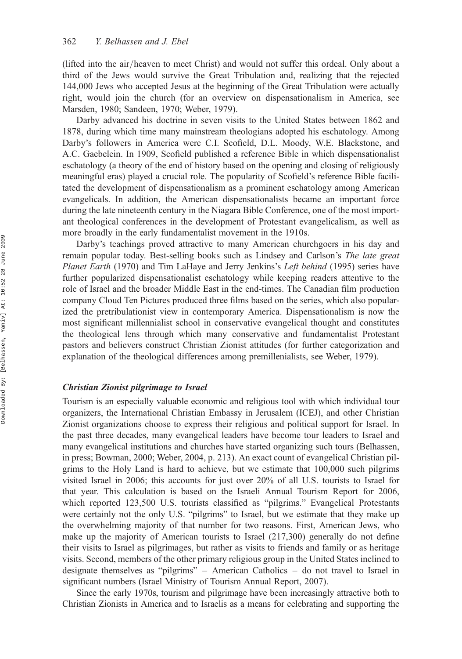(lifted into the air/heaven to meet Christ) and would not suffer this ordeal. Only about a third of the Jews would survive the Great Tribulation and, realizing that the rejected 144,000 Jews who accepted Jesus at the beginning of the Great Tribulation were actually right, would join the church (for an overview on dispensationalism in America, see Marsden, 1980; Sandeen, 1970; Weber, 1979).

Darby advanced his doctrine in seven visits to the United States between 1862 and 1878, during which time many mainstream theologians adopted his eschatology. Among Darby's followers in America were C.I. Scofield, D.L. Moody, W.E. Blackstone, and A.C. Gaebelein. In 1909, Scofield published a reference Bible in which dispensationalist eschatology (a theory of the end of history based on the opening and closing of religiously meaningful eras) played a crucial role. The popularity of Scofield's reference Bible facilitated the development of dispensationalism as a prominent eschatology among American evangelicals. In addition, the American dispensationalists became an important force during the late nineteenth century in the Niagara Bible Conference, one of the most important theological conferences in the development of Protestant evangelicalism, as well as more broadly in the early fundamentalist movement in the 1910s.

Darby's teachings proved attractive to many American churchgoers in his day and remain popular today. Best-selling books such as Lindsey and Carlson's The late great Planet Earth (1970) and Tim LaHaye and Jerry Jenkins's Left behind (1995) series have further popularized dispensationalist eschatology while keeping readers attentive to the role of Israel and the broader Middle East in the end-times. The Canadian film production company Cloud Ten Pictures produced three films based on the series, which also popularized the pretribulationist view in contemporary America. Dispensationalism is now the most significant millennialist school in conservative evangelical thought and constitutes the theological lens through which many conservative and fundamentalist Protestant pastors and believers construct Christian Zionist attitudes (for further categorization and explanation of the theological differences among premillenialists, see Weber, 1979).

# Christian Zionist pilgrimage to Israel

Tourism is an especially valuable economic and religious tool with which individual tour organizers, the International Christian Embassy in Jerusalem (ICEJ), and other Christian Zionist organizations choose to express their religious and political support for Israel. In the past three decades, many evangelical leaders have become tour leaders to Israel and many evangelical institutions and churches have started organizing such tours (Belhassen, in press; Bowman, 2000; Weber, 2004, p. 213). An exact count of evangelical Christian pilgrims to the Holy Land is hard to achieve, but we estimate that 100,000 such pilgrims visited Israel in 2006; this accounts for just over 20% of all U.S. tourists to Israel for that year. This calculation is based on the Israeli Annual Tourism Report for 2006, which reported 123,500 U.S. tourists classified as "pilgrims." Evangelical Protestants were certainly not the only U.S. "pilgrims" to Israel, but we estimate that they make up the overwhelming majority of that number for two reasons. First, American Jews, who make up the majority of American tourists to Israel (217,300) generally do not define their visits to Israel as pilgrimages, but rather as visits to friends and family or as heritage visits. Second, members of the other primary religious group in the United States inclined to designate themselves as "pilgrims" – American Catholics – do not travel to Israel in significant numbers (Israel Ministry of Tourism Annual Report, 2007).

Since the early 1970s, tourism and pilgrimage have been increasingly attractive both to Christian Zionists in America and to Israelis as a means for celebrating and supporting the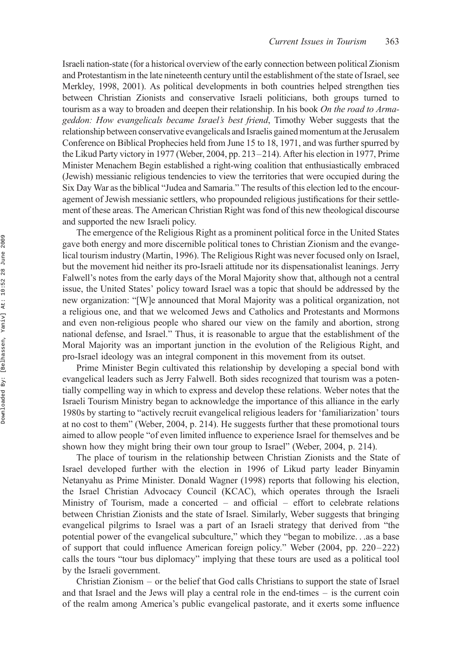Israeli nation-state (for a historical overview of the early connection between political Zionism and Protestantism in the late nineteenth century until the establishment of the state of Israel, see Merkley, 1998, 2001). As political developments in both countries helped strengthen ties between Christian Zionists and conservative Israeli politicians, both groups turned to tourism as a way to broaden and deepen their relationship. In his book On the road to Armageddon: How evangelicals became Israel's best friend, Timothy Weber suggests that the relationship between conservative evangelicals and Israelis gained momentum at the Jerusalem Conference on Biblical Prophecies held from June 15 to 18, 1971, and was further spurred by the Likud Party victory in 1977 (Weber, 2004, pp. 213–214). After his election in 1977, Prime Minister Menachem Begin established a right-wing coalition that enthusiastically embraced (Jewish) messianic religious tendencies to view the territories that were occupied during the Six Day War as the biblical "Judea and Samaria." The results of this election led to the encouragement of Jewish messianic settlers, who propounded religious justifications for their settlement of these areas. The American Christian Right was fond of this new theological discourse and supported the new Israeli policy.

The emergence of the Religious Right as a prominent political force in the United States gave both energy and more discernible political tones to Christian Zionism and the evangelical tourism industry (Martin, 1996). The Religious Right was never focused only on Israel, but the movement hid neither its pro-Israeli attitude nor its dispensationalist leanings. Jerry Falwell's notes from the early days of the Moral Majority show that, although not a central issue, the United States' policy toward Israel was a topic that should be addressed by the new organization: "[W]e announced that Moral Majority was a political organization, not a religious one, and that we welcomed Jews and Catholics and Protestants and Mormons and even non-religious people who shared our view on the family and abortion, strong national defense, and Israel." Thus, it is reasonable to argue that the establishment of the Moral Majority was an important junction in the evolution of the Religious Right, and pro-Israel ideology was an integral component in this movement from its outset.

Prime Minister Begin cultivated this relationship by developing a special bond with evangelical leaders such as Jerry Falwell. Both sides recognized that tourism was a potentially compelling way in which to express and develop these relations. Weber notes that the Israeli Tourism Ministry began to acknowledge the importance of this alliance in the early 1980s by starting to "actively recruit evangelical religious leaders for 'familiarization' tours at no cost to them" (Weber, 2004, p. 214). He suggests further that these promotional tours aimed to allow people "of even limited influence to experience Israel for themselves and be shown how they might bring their own tour group to Israel" (Weber, 2004, p. 214).

The place of tourism in the relationship between Christian Zionists and the State of Israel developed further with the election in 1996 of Likud party leader Binyamin Netanyahu as Prime Minister. Donald Wagner (1998) reports that following his election, the Israel Christian Advocacy Council (KCAC), which operates through the Israeli Ministry of Tourism, made a concerted – and official – effort to celebrate relations between Christian Zionists and the state of Israel. Similarly, Weber suggests that bringing evangelical pilgrims to Israel was a part of an Israeli strategy that derived from "the potential power of the evangelical subculture," which they "began to mobilize...as a base of support that could influence American foreign policy." Weber (2004, pp. 220– 222) calls the tours "tour bus diplomacy" implying that these tours are used as a political tool by the Israeli government.

Christian Zionism – or the belief that God calls Christians to support the state of Israel and that Israel and the Jews will play a central role in the end-times – is the current coin of the realm among America's public evangelical pastorate, and it exerts some influence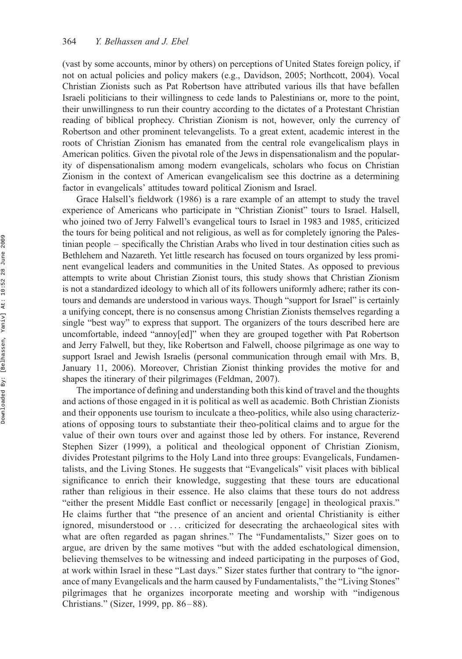(vast by some accounts, minor by others) on perceptions of United States foreign policy, if not on actual policies and policy makers (e.g., Davidson, 2005; Northcott, 2004). Vocal Christian Zionists such as Pat Robertson have attributed various ills that have befallen Israeli politicians to their willingness to cede lands to Palestinians or, more to the point, their unwillingness to run their country according to the dictates of a Protestant Christian reading of biblical prophecy. Christian Zionism is not, however, only the currency of Robertson and other prominent televangelists. To a great extent, academic interest in the roots of Christian Zionism has emanated from the central role evangelicalism plays in American politics. Given the pivotal role of the Jews in dispensationalism and the popularity of dispensationalism among modern evangelicals, scholars who focus on Christian Zionism in the context of American evangelicalism see this doctrine as a determining factor in evangelicals' attitudes toward political Zionism and Israel.

Grace Halsell's fieldwork (1986) is a rare example of an attempt to study the travel experience of Americans who participate in "Christian Zionist" tours to Israel. Halsell, who joined two of Jerry Falwell's evangelical tours to Israel in 1983 and 1985, criticized the tours for being political and not religious, as well as for completely ignoring the Palestinian people – specifically the Christian Arabs who lived in tour destination cities such as Bethlehem and Nazareth. Yet little research has focused on tours organized by less prominent evangelical leaders and communities in the United States. As opposed to previous attempts to write about Christian Zionist tours, this study shows that Christian Zionism is not a standardized ideology to which all of its followers uniformly adhere; rather its contours and demands are understood in various ways. Though "support for Israel" is certainly a unifying concept, there is no consensus among Christian Zionists themselves regarding a single "best way" to express that support. The organizers of the tours described here are uncomfortable, indeed "annoy[ed]" when they are grouped together with Pat Robertson and Jerry Falwell, but they, like Robertson and Falwell, choose pilgrimage as one way to support Israel and Jewish Israelis (personal communication through email with Mrs. B, January 11, 2006). Moreover, Christian Zionist thinking provides the motive for and shapes the itinerary of their pilgrimages (Feldman, 2007).

The importance of defining and understanding both this kind of travel and the thoughts and actions of those engaged in it is political as well as academic. Both Christian Zionists and their opponents use tourism to inculcate a theo-politics, while also using characterizations of opposing tours to substantiate their theo-political claims and to argue for the value of their own tours over and against those led by others. For instance, Reverend Stephen Sizer (1999), a political and theological opponent of Christian Zionism, divides Protestant pilgrims to the Holy Land into three groups: Evangelicals, Fundamentalists, and the Living Stones. He suggests that "Evangelicals" visit places with biblical significance to enrich their knowledge, suggesting that these tours are educational rather than religious in their essence. He also claims that these tours do not address "either the present Middle East conflict or necessarily [engage] in theological praxis." He claims further that "the presence of an ancient and oriental Christianity is either ignored, misunderstood or ... criticized for desecrating the archaeological sites with what are often regarded as pagan shrines." The "Fundamentalists," Sizer goes on to argue, are driven by the same motives "but with the added eschatological dimension, believing themselves to be witnessing and indeed participating in the purposes of God, at work within Israel in these "Last days." Sizer states further that contrary to "the ignorance of many Evangelicals and the harm caused by Fundamentalists," the "Living Stones" pilgrimages that he organizes incorporate meeting and worship with "indigenous Christians." (Sizer, 1999, pp. 86–88).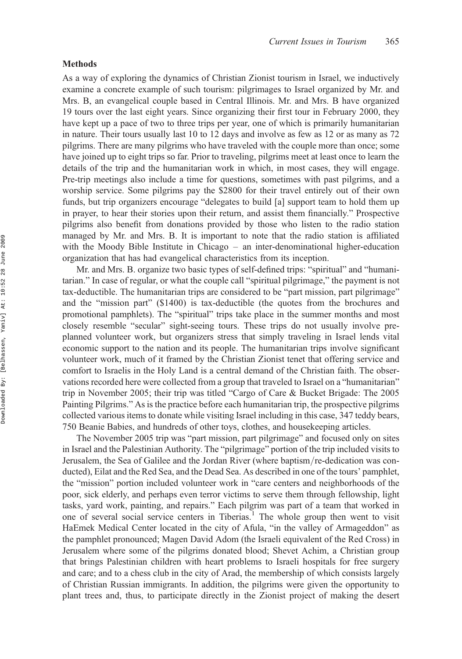# Methods

As a way of exploring the dynamics of Christian Zionist tourism in Israel, we inductively examine a concrete example of such tourism: pilgrimages to Israel organized by Mr. and Mrs. B, an evangelical couple based in Central Illinois. Mr. and Mrs. B have organized 19 tours over the last eight years. Since organizing their first tour in February 2000, they have kept up a pace of two to three trips per year, one of which is primarily humanitarian in nature. Their tours usually last 10 to 12 days and involve as few as 12 or as many as 72 pilgrims. There are many pilgrims who have traveled with the couple more than once; some have joined up to eight trips so far. Prior to traveling, pilgrims meet at least once to learn the details of the trip and the humanitarian work in which, in most cases, they will engage. Pre-trip meetings also include a time for questions, sometimes with past pilgrims, and a worship service. Some pilgrims pay the \$2800 for their travel entirely out of their own funds, but trip organizers encourage "delegates to build [a] support team to hold them up in prayer, to hear their stories upon their return, and assist them financially." Prospective pilgrims also benefit from donations provided by those who listen to the radio station managed by Mr. and Mrs. B. It is important to note that the radio station is affiliated with the Moody Bible Institute in Chicago – an inter-denominational higher-education organization that has had evangelical characteristics from its inception.

Mr. and Mrs. B. organize two basic types of self-defined trips: "spiritual" and "humanitarian." In case of regular, or what the couple call "spiritual pilgrimage," the payment is not tax-deductible. The humanitarian trips are considered to be "part mission, part pilgrimage" and the "mission part" (\$1400) is tax-deductible (the quotes from the brochures and promotional pamphlets). The "spiritual" trips take place in the summer months and most closely resemble "secular" sight-seeing tours. These trips do not usually involve preplanned volunteer work, but organizers stress that simply traveling in Israel lends vital economic support to the nation and its people. The humanitarian trips involve significant volunteer work, much of it framed by the Christian Zionist tenet that offering service and comfort to Israelis in the Holy Land is a central demand of the Christian faith. The observations recorded here were collected from a group that traveled to Israel on a "humanitarian" trip in November 2005; their trip was titled "Cargo of Care & Bucket Brigade: The 2005 Painting Pilgrims." As is the practice before each humanitarian trip, the prospective pilgrims collected various items to donate while visiting Israel including in this case, 347 teddy bears, 750 Beanie Babies, and hundreds of other toys, clothes, and housekeeping articles.

The November 2005 trip was "part mission, part pilgrimage" and focused only on sites in Israel and the Palestinian Authority. The "pilgrimage" portion of the trip included visits to Jerusalem, the Sea of Galilee and the Jordan River (where baptism/re-dedication was conducted), Eilat and the Red Sea, and the Dead Sea. As described in one of the tours' pamphlet, the "mission" portion included volunteer work in "care centers and neighborhoods of the poor, sick elderly, and perhaps even terror victims to serve them through fellowship, light tasks, yard work, painting, and repairs." Each pilgrim was part of a team that worked in one of several social service centers in Tiberias.<sup>1</sup> The whole group then went to visit HaEmek Medical Center located in the city of Afula, "in the valley of Armageddon" as the pamphlet pronounced; Magen David Adom (the Israeli equivalent of the Red Cross) in Jerusalem where some of the pilgrims donated blood; Shevet Achim, a Christian group that brings Palestinian children with heart problems to Israeli hospitals for free surgery and care; and to a chess club in the city of Arad, the membership of which consists largely of Christian Russian immigrants. In addition, the pilgrims were given the opportunity to plant trees and, thus, to participate directly in the Zionist project of making the desert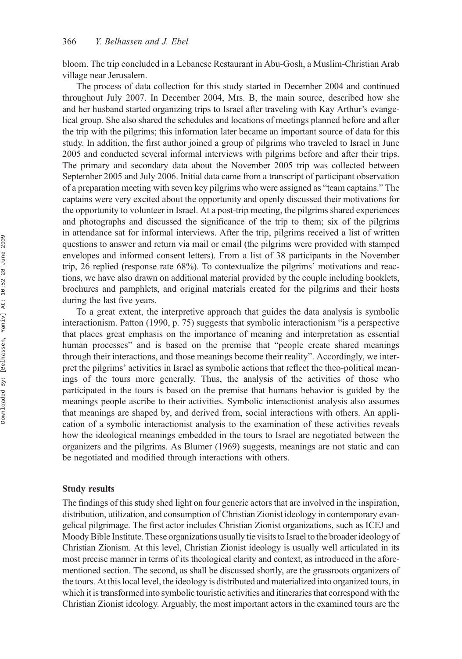bloom. The trip concluded in a Lebanese Restaurant in Abu-Gosh, a Muslim-Christian Arab village near Jerusalem.

The process of data collection for this study started in December 2004 and continued throughout July 2007. In December 2004, Mrs. B, the main source, described how she and her husband started organizing trips to Israel after traveling with Kay Arthur's evangelical group. She also shared the schedules and locations of meetings planned before and after the trip with the pilgrims; this information later became an important source of data for this study. In addition, the first author joined a group of pilgrims who traveled to Israel in June 2005 and conducted several informal interviews with pilgrims before and after their trips. The primary and secondary data about the November 2005 trip was collected between September 2005 and July 2006. Initial data came from a transcript of participant observation of a preparation meeting with seven key pilgrims who were assigned as "team captains." The captains were very excited about the opportunity and openly discussed their motivations for the opportunity to volunteer in Israel. At a post-trip meeting, the pilgrims shared experiences and photographs and discussed the significance of the trip to them; six of the pilgrims in attendance sat for informal interviews. After the trip, pilgrims received a list of written questions to answer and return via mail or email (the pilgrims were provided with stamped envelopes and informed consent letters). From a list of 38 participants in the November trip, 26 replied (response rate 68%). To contextualize the pilgrims' motivations and reactions, we have also drawn on additional material provided by the couple including booklets, brochures and pamphlets, and original materials created for the pilgrims and their hosts during the last five years.

To a great extent, the interpretive approach that guides the data analysis is symbolic interactionism. Patton (1990, p. 75) suggests that symbolic interactionism "is a perspective that places great emphasis on the importance of meaning and interpretation as essential human processes" and is based on the premise that "people create shared meanings through their interactions, and those meanings become their reality". Accordingly, we interpret the pilgrims' activities in Israel as symbolic actions that reflect the theo-political meanings of the tours more generally. Thus, the analysis of the activities of those who participated in the tours is based on the premise that humans behavior is guided by the meanings people ascribe to their activities. Symbolic interactionist analysis also assumes that meanings are shaped by, and derived from, social interactions with others. An application of a symbolic interactionist analysis to the examination of these activities reveals how the ideological meanings embedded in the tours to Israel are negotiated between the organizers and the pilgrims. As Blumer (1969) suggests, meanings are not static and can be negotiated and modified through interactions with others.

#### Study results

The findings of this study shed light on four generic actors that are involved in the inspiration, distribution, utilization, and consumption of Christian Zionist ideology in contemporary evangelical pilgrimage. The first actor includes Christian Zionist organizations, such as ICEJ and Moody Bible Institute. These organizations usually tie visits to Israel to the broader ideology of Christian Zionism. At this level, Christian Zionist ideology is usually well articulated in its most precise manner in terms of its theological clarity and context, as introduced in the aforementioned section. The second, as shall be discussed shortly, are the grassroots organizers of the tours. At this local level, the ideology is distributed and materialized into organized tours, in which it is transformed into symbolic touristic activities and itineraries that correspond with the Christian Zionist ideology. Arguably, the most important actors in the examined tours are the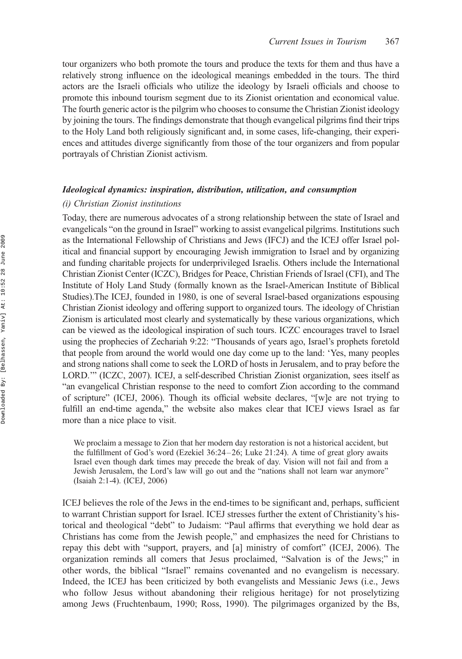tour organizers who both promote the tours and produce the texts for them and thus have a relatively strong influence on the ideological meanings embedded in the tours. The third actors are the Israeli officials who utilize the ideology by Israeli officials and choose to promote this inbound tourism segment due to its Zionist orientation and economical value. The fourth generic actor is the pilgrim who chooses to consume the Christian Zionist ideology by joining the tours. The findings demonstrate that though evangelical pilgrims find their trips to the Holy Land both religiously significant and, in some cases, life-changing, their experiences and attitudes diverge significantly from those of the tour organizers and from popular portrayals of Christian Zionist activism.

# Ideological dynamics: inspiration, distribution, utilization, and consumption

### (i) Christian Zionist institutions

Today, there are numerous advocates of a strong relationship between the state of Israel and evangelicals "on the ground in Israel" working to assist evangelical pilgrims. Institutions such as the International Fellowship of Christians and Jews (IFCJ) and the ICEJ offer Israel political and financial support by encouraging Jewish immigration to Israel and by organizing and funding charitable projects for underprivileged Israelis. Others include the International Christian Zionist Center (ICZC), Bridges for Peace, Christian Friends of Israel (CFI), and The Institute of Holy Land Study (formally known as the Israel-American Institute of Biblical Studies).The ICEJ, founded in 1980, is one of several Israel-based organizations espousing Christian Zionist ideology and offering support to organized tours. The ideology of Christian Zionism is articulated most clearly and systematically by these various organizations, which can be viewed as the ideological inspiration of such tours. ICZC encourages travel to Israel using the prophecies of Zechariah 9:22: "Thousands of years ago, Israel's prophets foretold that people from around the world would one day come up to the land: 'Yes, many peoples and strong nations shall come to seek the LORD of hosts in Jerusalem, and to pray before the LORD.'" (ICZC, 2007). ICEJ, a self-described Christian Zionist organization, sees itself as "an evangelical Christian response to the need to comfort Zion according to the command of scripture" (ICEJ, 2006). Though its official website declares, "[w]e are not trying to fulfill an end-time agenda," the website also makes clear that ICEJ views Israel as far more than a nice place to visit.

We proclaim a message to Zion that her modern day restoration is not a historical accident, but the fulfillment of God's word (Ezekiel  $36:24-26$ ; Luke 21:24). A time of great glory awaits Israel even though dark times may precede the break of day. Vision will not fail and from a Jewish Jerusalem, the Lord's law will go out and the "nations shall not learn war anymore" (Isaiah 2:1-4). (ICEJ, 2006)

ICEJ believes the role of the Jews in the end-times to be significant and, perhaps, sufficient to warrant Christian support for Israel. ICEJ stresses further the extent of Christianity's historical and theological "debt" to Judaism: "Paul affirms that everything we hold dear as Christians has come from the Jewish people," and emphasizes the need for Christians to repay this debt with "support, prayers, and [a] ministry of comfort" (ICEJ, 2006). The organization reminds all comers that Jesus proclaimed, "Salvation is of the Jews;" in other words, the biblical "Israel" remains covenanted and no evangelism is necessary. Indeed, the ICEJ has been criticized by both evangelists and Messianic Jews (i.e., Jews who follow Jesus without abandoning their religious heritage) for not proselytizing among Jews (Fruchtenbaum, 1990; Ross, 1990). The pilgrimages organized by the Bs,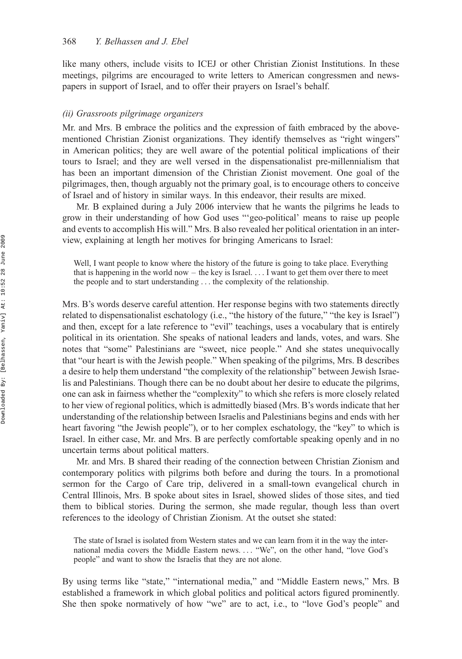like many others, include visits to ICEJ or other Christian Zionist Institutions. In these meetings, pilgrims are encouraged to write letters to American congressmen and newspapers in support of Israel, and to offer their prayers on Israel's behalf.

# (ii) Grassroots pilgrimage organizers

Mr. and Mrs. B embrace the politics and the expression of faith embraced by the abovementioned Christian Zionist organizations. They identify themselves as "right wingers" in American politics; they are well aware of the potential political implications of their tours to Israel; and they are well versed in the dispensationalist pre-millennialism that has been an important dimension of the Christian Zionist movement. One goal of the pilgrimages, then, though arguably not the primary goal, is to encourage others to conceive of Israel and of history in similar ways. In this endeavor, their results are mixed.

Mr. B explained during a July 2006 interview that he wants the pilgrims he leads to grow in their understanding of how God uses "'geo-political' means to raise up people and events to accomplish His will." Mrs. B also revealed her political orientation in an interview, explaining at length her motives for bringing Americans to Israel:

Well, I want people to know where the history of the future is going to take place. Everything that is happening in the world now – the key is Israel. ... I want to get them over there to meet the people and to start understanding ... the complexity of the relationship.

Mrs. B's words deserve careful attention. Her response begins with two statements directly related to dispensationalist eschatology (i.e., "the history of the future," "the key is Israel") and then, except for a late reference to "evil" teachings, uses a vocabulary that is entirely political in its orientation. She speaks of national leaders and lands, votes, and wars. She notes that "some" Palestinians are "sweet, nice people." And she states unequivocally that "our heart is with the Jewish people." When speaking of the pilgrims, Mrs. B describes a desire to help them understand "the complexity of the relationship" between Jewish Israelis and Palestinians. Though there can be no doubt about her desire to educate the pilgrims, one can ask in fairness whether the "complexity" to which she refers is more closely related to her view of regional politics, which is admittedly biased (Mrs. B's words indicate that her understanding of the relationship between Israelis and Palestinians begins and ends with her heart favoring "the Jewish people"), or to her complex eschatology, the "key" to which is Israel. In either case, Mr. and Mrs. B are perfectly comfortable speaking openly and in no uncertain terms about political matters.

Mr. and Mrs. B shared their reading of the connection between Christian Zionism and contemporary politics with pilgrims both before and during the tours. In a promotional sermon for the Cargo of Care trip, delivered in a small-town evangelical church in Central Illinois, Mrs. B spoke about sites in Israel, showed slides of those sites, and tied them to biblical stories. During the sermon, she made regular, though less than overt references to the ideology of Christian Zionism. At the outset she stated:

The state of Israel is isolated from Western states and we can learn from it in the way the international media covers the Middle Eastern news. ... "We", on the other hand, "love God's people" and want to show the Israelis that they are not alone.

By using terms like "state," "international media," and "Middle Eastern news," Mrs. B established a framework in which global politics and political actors figured prominently. She then spoke normatively of how "we" are to act, i.e., to "love God's people" and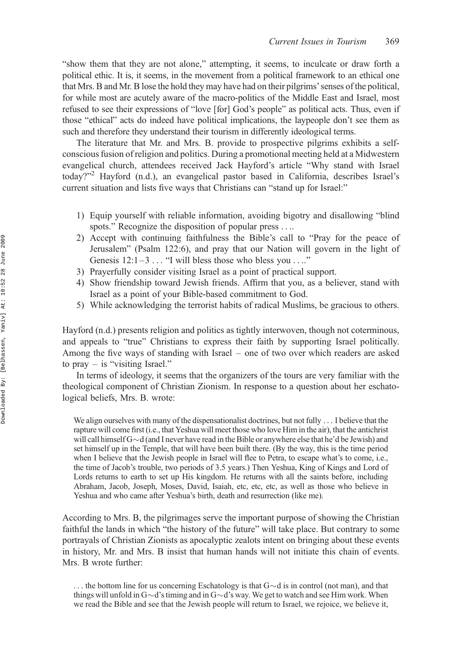"show them that they are not alone," attempting, it seems, to inculcate or draw forth a political ethic. It is, it seems, in the movement from a political framework to an ethical one that Mrs. B and Mr. B lose the hold they may have had on their pilgrims' senses of the political, for while most are acutely aware of the macro-politics of the Middle East and Israel, most refused to see their expressions of "love [for] God's people" as political acts. Thus, even if those "ethical" acts do indeed have political implications, the laypeople don't see them as such and therefore they understand their tourism in differently ideological terms.

The literature that Mr. and Mrs. B. provide to prospective pilgrims exhibits a selfconscious fusion of religion and politics. During a promotional meeting held at a Midwestern evangelical church, attendees received Jack Hayford's article "Why stand with Israel today?"<sup>2</sup> Hayford (n.d.), an evangelical pastor based in California, describes Israel's current situation and lists five ways that Christians can "stand up for Israel:"

- 1) Equip yourself with reliable information, avoiding bigotry and disallowing "blind spots." Recognize the disposition of popular press ....
- 2) Accept with continuing faithfulness the Bible's call to "Pray for the peace of Jerusalem" (Psalm 122:6), and pray that our Nation will govern in the light of Genesis  $12:1-3...$  "I will bless those who bless you ...."
- 3) Prayerfully consider visiting Israel as a point of practical support.
- 4) Show friendship toward Jewish friends. Affirm that you, as a believer, stand with Israel as a point of your Bible-based commitment to God.
- 5) While acknowledging the terrorist habits of radical Muslims, be gracious to others.

Hayford (n.d.) presents religion and politics as tightly interwoven, though not coterminous, and appeals to "true" Christians to express their faith by supporting Israel politically. Among the five ways of standing with Israel – one of two over which readers are asked to pray – is "visiting Israel."

In terms of ideology, it seems that the organizers of the tours are very familiar with the theological component of Christian Zionism. In response to a question about her eschatological beliefs, Mrs. B. wrote:

We align ourselves with many of the dispensationalist doctrines, but not fully ... I believe that the rapture will come first (i.e., that Yeshua will meet those who love Him in the air), that the antichrist will call himself  $G \sim d$  (and I never have read in the Bible or anywhere else that he'd be Jewish) and set himself up in the Temple, that will have been built there. (By the way, this is the time period when I believe that the Jewish people in Israel will flee to Petra, to escape what's to come, i.e., the time of Jacob's trouble, two periods of 3.5 years.) Then Yeshua, King of Kings and Lord of Lords returns to earth to set up His kingdom. He returns with all the saints before, including Abraham, Jacob, Joseph, Moses, David, Isaiah, etc, etc, etc, as well as those who believe in Yeshua and who came after Yeshua's birth, death and resurrection (like me).

According to Mrs. B, the pilgrimages serve the important purpose of showing the Christian faithful the lands in which "the history of the future" will take place. But contrary to some portrayals of Christian Zionists as apocalyptic zealots intent on bringing about these events in history, Mr. and Mrs. B insist that human hands will not initiate this chain of events. Mrs. B wrote further:

 $\dots$  the bottom line for us concerning Eschatology is that  $G \sim d$  is in control (not man), and that things will unfold in  $G \sim d$ 's timing and in  $G \sim d$ 's way. We get to watch and see Him work. When we read the Bible and see that the Jewish people will return to Israel, we rejoice, we believe it,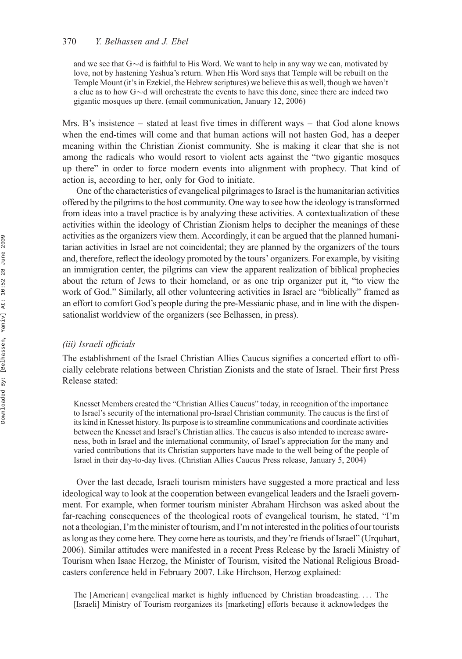# 370 Y. Belhassen and J. Ebel

and we see that  $G \sim d$  is faithful to His Word. We want to help in any way we can, motivated by love, not by hastening Yeshua's return. When His Word says that Temple will be rebuilt on the Temple Mount (it's in Ezekiel, the Hebrew scriptures) we believe this as well, though we haven't a clue as to how  $G \sim d$  will orchestrate the events to have this done, since there are indeed two gigantic mosques up there. (email communication, January 12, 2006)

Mrs. B's insistence – stated at least five times in different ways – that God alone knows when the end-times will come and that human actions will not hasten God, has a deeper meaning within the Christian Zionist community. She is making it clear that she is not among the radicals who would resort to violent acts against the "two gigantic mosques up there" in order to force modern events into alignment with prophecy. That kind of action is, according to her, only for God to initiate.

One of the characteristics of evangelical pilgrimages to Israel is the humanitarian activities offered by the pilgrims to the host community. One way to see how the ideology is transformed from ideas into a travel practice is by analyzing these activities. A contextualization of these activities within the ideology of Christian Zionism helps to decipher the meanings of these activities as the organizers view them. Accordingly, it can be argued that the planned humanitarian activities in Israel are not coincidental; they are planned by the organizers of the tours and, therefore, reflect the ideology promoted by the tours' organizers. For example, by visiting an immigration center, the pilgrims can view the apparent realization of biblical prophecies about the return of Jews to their homeland, or as one trip organizer put it, "to view the work of God." Similarly, all other volunteering activities in Israel are "biblically" framed as an effort to comfort God's people during the pre-Messianic phase, and in line with the dispensationalist worldview of the organizers (see Belhassen, in press).

#### (iii) Israeli officials

The establishment of the Israel Christian Allies Caucus signifies a concerted effort to officially celebrate relations between Christian Zionists and the state of Israel. Their first Press Release stated:

Knesset Members created the "Christian Allies Caucus" today, in recognition of the importance to Israel's security of the international pro-Israel Christian community. The caucus is the first of its kind in Knesset history. Its purpose is to streamline communications and coordinate activities between the Knesset and Israel's Christian allies. The caucus is also intended to increase awareness, both in Israel and the international community, of Israel's appreciation for the many and varied contributions that its Christian supporters have made to the well being of the people of Israel in their day-to-day lives. (Christian Allies Caucus Press release, January 5, 2004)

Over the last decade, Israeli tourism ministers have suggested a more practical and less ideological way to look at the cooperation between evangelical leaders and the Israeli government. For example, when former tourism minister Abraham Hirchson was asked about the far-reaching consequences of the theological roots of evangelical tourism, he stated, "I'm not a theologian, I'm the minister of tourism, and I'm not interested in the politics of our tourists as long as they come here. They come here as tourists, and they're friends of Israel" (Urquhart, 2006). Similar attitudes were manifested in a recent Press Release by the Israeli Ministry of Tourism when Isaac Herzog, the Minister of Tourism, visited the National Religious Broadcasters conference held in February 2007. Like Hirchson, Herzog explained:

The [American] evangelical market is highly influenced by Christian broadcasting. ... The [Israeli] Ministry of Tourism reorganizes its [marketing] efforts because it acknowledges the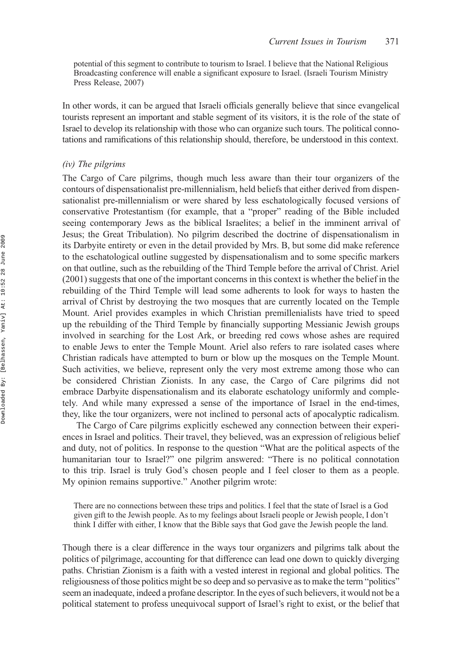potential of this segment to contribute to tourism to Israel. I believe that the National Religious Broadcasting conference will enable a significant exposure to Israel. (Israeli Tourism Ministry Press Release, 2007)

In other words, it can be argued that Israeli officials generally believe that since evangelical tourists represent an important and stable segment of its visitors, it is the role of the state of Israel to develop its relationship with those who can organize such tours. The political connotations and ramifications of this relationship should, therefore, be understood in this context.

## (iv) The pilgrims

The Cargo of Care pilgrims, though much less aware than their tour organizers of the contours of dispensationalist pre-millennialism, held beliefs that either derived from dispensationalist pre-millennialism or were shared by less eschatologically focused versions of conservative Protestantism (for example, that a "proper" reading of the Bible included seeing contemporary Jews as the biblical Israelites; a belief in the imminent arrival of Jesus; the Great Tribulation). No pilgrim described the doctrine of dispensationalism in its Darbyite entirety or even in the detail provided by Mrs. B, but some did make reference to the eschatological outline suggested by dispensationalism and to some specific markers on that outline, such as the rebuilding of the Third Temple before the arrival of Christ. Ariel (2001) suggests that one of the important concerns in this context is whether the belief in the rebuilding of the Third Temple will lead some adherents to look for ways to hasten the arrival of Christ by destroying the two mosques that are currently located on the Temple Mount. Ariel provides examples in which Christian premillenialists have tried to speed up the rebuilding of the Third Temple by financially supporting Messianic Jewish groups involved in searching for the Lost Ark, or breeding red cows whose ashes are required to enable Jews to enter the Temple Mount. Ariel also refers to rare isolated cases where Christian radicals have attempted to burn or blow up the mosques on the Temple Mount. Such activities, we believe, represent only the very most extreme among those who can be considered Christian Zionists. In any case, the Cargo of Care pilgrims did not embrace Darbyite dispensationalism and its elaborate eschatology uniformly and completely. And while many expressed a sense of the importance of Israel in the end-times, they, like the tour organizers, were not inclined to personal acts of apocalyptic radicalism.

The Cargo of Care pilgrims explicitly eschewed any connection between their experiences in Israel and politics. Their travel, they believed, was an expression of religious belief and duty, not of politics. In response to the question "What are the political aspects of the humanitarian tour to Israel?" one pilgrim answered: "There is no political connotation to this trip. Israel is truly God's chosen people and I feel closer to them as a people. My opinion remains supportive." Another pilgrim wrote:

There are no connections between these trips and politics. I feel that the state of Israel is a God given gift to the Jewish people. As to my feelings about Israeli people or Jewish people, I don't think I differ with either, I know that the Bible says that God gave the Jewish people the land.

Though there is a clear difference in the ways tour organizers and pilgrims talk about the politics of pilgrimage, accounting for that difference can lead one down to quickly diverging paths. Christian Zionism is a faith with a vested interest in regional and global politics. The religiousness of those politics might be so deep and so pervasive as to make the term "politics" seem an inadequate, indeed a profane descriptor. In the eyes of such believers, it would not be a political statement to profess unequivocal support of Israel's right to exist, or the belief that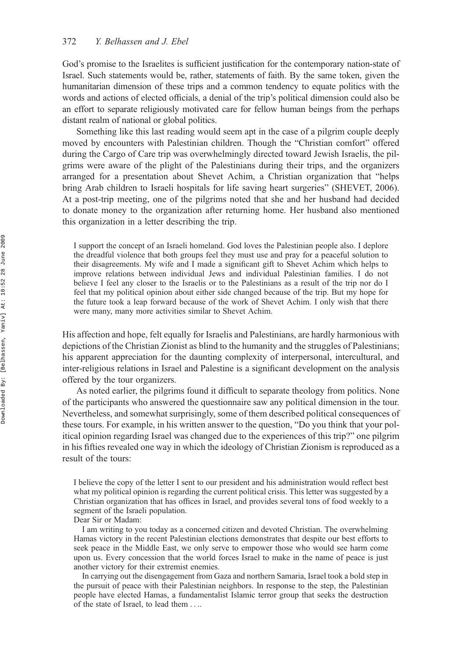God's promise to the Israelites is sufficient justification for the contemporary nation-state of Israel. Such statements would be, rather, statements of faith. By the same token, given the humanitarian dimension of these trips and a common tendency to equate politics with the words and actions of elected officials, a denial of the trip's political dimension could also be an effort to separate religiously motivated care for fellow human beings from the perhaps distant realm of national or global politics.

Something like this last reading would seem apt in the case of a pilgrim couple deeply moved by encounters with Palestinian children. Though the "Christian comfort" offered during the Cargo of Care trip was overwhelmingly directed toward Jewish Israelis, the pilgrims were aware of the plight of the Palestinians during their trips, and the organizers arranged for a presentation about Shevet Achim, a Christian organization that "helps bring Arab children to Israeli hospitals for life saving heart surgeries" (SHEVET, 2006). At a post-trip meeting, one of the pilgrims noted that she and her husband had decided to donate money to the organization after returning home. Her husband also mentioned this organization in a letter describing the trip.

I support the concept of an Israeli homeland. God loves the Palestinian people also. I deplore the dreadful violence that both groups feel they must use and pray for a peaceful solution to their disagreements. My wife and I made a significant gift to Shevet Achim which helps to improve relations between individual Jews and individual Palestinian families. I do not believe I feel any closer to the Israelis or to the Palestinians as a result of the trip nor do I feel that my political opinion about either side changed because of the trip. But my hope for the future took a leap forward because of the work of Shevet Achim. I only wish that there were many, many more activities similar to Shevet Achim.

His affection and hope, felt equally for Israelis and Palestinians, are hardly harmonious with depictions of the Christian Zionist as blind to the humanity and the struggles of Palestinians; his apparent appreciation for the daunting complexity of interpersonal, intercultural, and inter-religious relations in Israel and Palestine is a significant development on the analysis offered by the tour organizers.

As noted earlier, the pilgrims found it difficult to separate theology from politics. None of the participants who answered the questionnaire saw any political dimension in the tour. Nevertheless, and somewhat surprisingly, some of them described political consequences of these tours. For example, in his written answer to the question, "Do you think that your political opinion regarding Israel was changed due to the experiences of this trip?" one pilgrim in his fifties revealed one way in which the ideology of Christian Zionism is reproduced as a result of the tours:

I believe the copy of the letter I sent to our president and his administration would reflect best what my political opinion is regarding the current political crisis. This letter was suggested by a Christian organization that has offices in Israel, and provides several tons of food weekly to a segment of the Israeli population.

Dear Sir or Madam:

I am writing to you today as a concerned citizen and devoted Christian. The overwhelming Hamas victory in the recent Palestinian elections demonstrates that despite our best efforts to seek peace in the Middle East, we only serve to empower those who would see harm come upon us. Every concession that the world forces Israel to make in the name of peace is just another victory for their extremist enemies.

In carrying out the disengagement from Gaza and northern Samaria, Israel took a bold step in the pursuit of peace with their Palestinian neighbors. In response to the step, the Palestinian people have elected Hamas, a fundamentalist Islamic terror group that seeks the destruction of the state of Israel, to lead them ....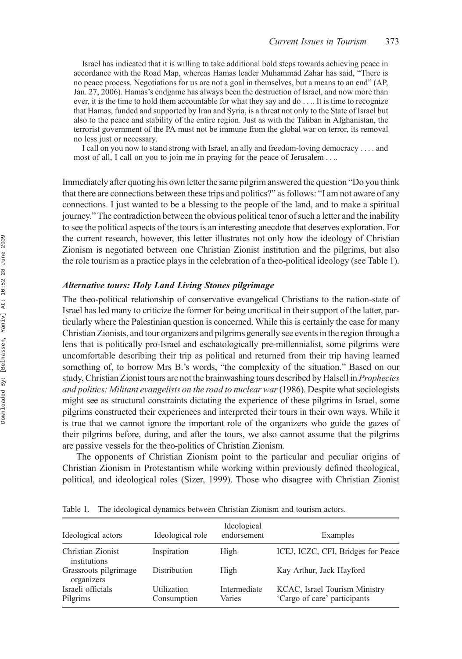Israel has indicated that it is willing to take additional bold steps towards achieving peace in accordance with the Road Map, whereas Hamas leader Muhammad Zahar has said, "There is no peace process. Negotiations for us are not a goal in themselves, but a means to an end" (AP, Jan. 27, 2006). Hamas's endgame has always been the destruction of Israel, and now more than ever, it is the time to hold them accountable for what they say and do .... It is time to recognize that Hamas, funded and supported by Iran and Syria, is a threat not only to the State of Israel but also to the peace and stability of the entire region. Just as with the Taliban in Afghanistan, the terrorist government of the PA must not be immune from the global war on terror, its removal no less just or necessary.

I call on you now to stand strong with Israel, an ally and freedom-loving democracy ... . and most of all, I call on you to join me in praying for the peace of Jerusalem ....

Immediately after quoting his own letter the same pilgrim answered the question "Do you think that there are connections between these trips and politics?" as follows: "I am not aware of any connections. I just wanted to be a blessing to the people of the land, and to make a spiritual journey." The contradiction between the obvious political tenor of such a letter and the inability to see the political aspects of the tours is an interesting anecdote that deserves exploration. For the current research, however, this letter illustrates not only how the ideology of Christian Zionism is negotiated between one Christian Zionist institution and the pilgrims, but also the role tourism as a practice plays in the celebration of a theo-political ideology (see Table 1).

# Alternative tours: Holy Land Living Stones pilgrimage

The theo-political relationship of conservative evangelical Christians to the nation-state of Israel has led many to criticize the former for being uncritical in their support of the latter, particularly where the Palestinian question is concerned. While this is certainly the case for many Christian Zionists, and tour organizers and pilgrims generally see events in the region through a lens that is politically pro-Israel and eschatologically pre-millennialist, some pilgrims were uncomfortable describing their trip as political and returned from their trip having learned something of, to borrow Mrs B.'s words, "the complexity of the situation." Based on our study, Christian Zionist tours are not the brainwashing tours described by Halsell in Prophecies and politics: Militant evangelists on the road to nuclear war (1986). Despite what sociologists might see as structural constraints dictating the experience of these pilgrims in Israel, some pilgrims constructed their experiences and interpreted their tours in their own ways. While it is true that we cannot ignore the important role of the organizers who guide the gazes of their pilgrims before, during, and after the tours, we also cannot assume that the pilgrims are passive vessels for the theo-politics of Christian Zionism.

The opponents of Christian Zionism point to the particular and peculiar origins of Christian Zionism in Protestantism while working within previously defined theological, political, and ideological roles (Sizer, 1999). Those who disagree with Christian Zionist

|  |  | Table 1. The ideological dynamics between Christian Zionism and tourism actors. |  |  |  |  |
|--|--|---------------------------------------------------------------------------------|--|--|--|--|
|--|--|---------------------------------------------------------------------------------|--|--|--|--|

| Ideological actors                  | Ideological role           | Ideological<br>endorsement | Examples                                                      |
|-------------------------------------|----------------------------|----------------------------|---------------------------------------------------------------|
| Christian Zionist<br>institutions   | Inspiration                | High                       | ICEJ, ICZC, CFI, Bridges for Peace                            |
| Grassroots pilgrimage<br>organizers | Distribution               | High                       | Kay Arthur, Jack Hayford                                      |
| Israeli officials<br>Pilgrims       | Utilization<br>Consumption | Intermediate<br>Varies     | KCAC, Israel Tourism Ministry<br>'Cargo of care' participants |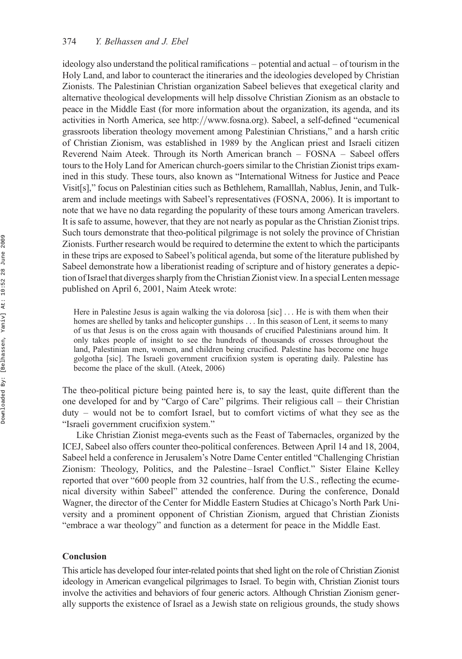ideology also understand the political ramifications – potential and actual – of tourism in the Holy Land, and labor to counteract the itineraries and the ideologies developed by Christian Zionists. The Palestinian Christian organization Sabeel believes that exegetical clarity and alternative theological developments will help dissolve Christian Zionism as an obstacle to peace in the Middle East (for more information about the organization, its agenda, and its activities in North America, see http://www.fosna.org). Sabeel, a self-defined "ecumenical grassroots liberation theology movement among Palestinian Christians," and a harsh critic of Christian Zionism, was established in 1989 by the Anglican priest and Israeli citizen Reverend Naim Ateek. Through its North American branch – FOSNA – Sabeel offers tours to the Holy Land for American church-goers similar to the Christian Zionist trips examined in this study. These tours, also known as "International Witness for Justice and Peace Visit[s]," focus on Palestinian cities such as Bethlehem, Ramalllah, Nablus, Jenin, and Tulkarem and include meetings with Sabeel's representatives (FOSNA, 2006). It is important to note that we have no data regarding the popularity of these tours among American travelers. It is safe to assume, however, that they are not nearly as popular as the Christian Zionist trips. Such tours demonstrate that theo-political pilgrimage is not solely the province of Christian Zionists. Further research would be required to determine the extent to which the participants in these trips are exposed to Sabeel's political agenda, but some of the literature published by Sabeel demonstrate how a liberationist reading of scripture and of history generates a depiction of Israel that diverges sharply from the Christian Zionist view. In a special Lenten message published on April 6, 2001, Naim Ateek wrote:

Here in Palestine Jesus is again walking the via dolorosa [sic] ... He is with them when their homes are shelled by tanks and helicopter gunships . . . In this season of Lent, it seems to many of us that Jesus is on the cross again with thousands of crucified Palestinians around him. It only takes people of insight to see the hundreds of thousands of crosses throughout the land, Palestinian men, women, and children being crucified. Palestine has become one huge golgotha [sic]. The Israeli government crucifixion system is operating daily. Palestine has become the place of the skull. (Ateek, 2006)

The theo-political picture being painted here is, to say the least, quite different than the one developed for and by "Cargo of Care" pilgrims. Their religious call – their Christian duty – would not be to comfort Israel, but to comfort victims of what they see as the "Israeli government crucifixion system."

Like Christian Zionist mega-events such as the Feast of Tabernacles, organized by the ICEJ, Sabeel also offers counter theo-political conferences. Between April 14 and 18, 2004, Sabeel held a conference in Jerusalem's Notre Dame Center entitled "Challenging Christian Zionism: Theology, Politics, and the Palestine – Israel Conflict." Sister Elaine Kelley reported that over "600 people from 32 countries, half from the U.S., reflecting the ecumenical diversity within Sabeel" attended the conference. During the conference, Donald Wagner, the director of the Center for Middle Eastern Studies at Chicago's North Park University and a prominent opponent of Christian Zionism, argued that Christian Zionists "embrace a war theology" and function as a determent for peace in the Middle East.

#### Conclusion

This article has developed four inter-related points that shed light on the role of Christian Zionist ideology in American evangelical pilgrimages to Israel. To begin with, Christian Zionist tours involve the activities and behaviors of four generic actors. Although Christian Zionism generally supports the existence of Israel as a Jewish state on religious grounds, the study shows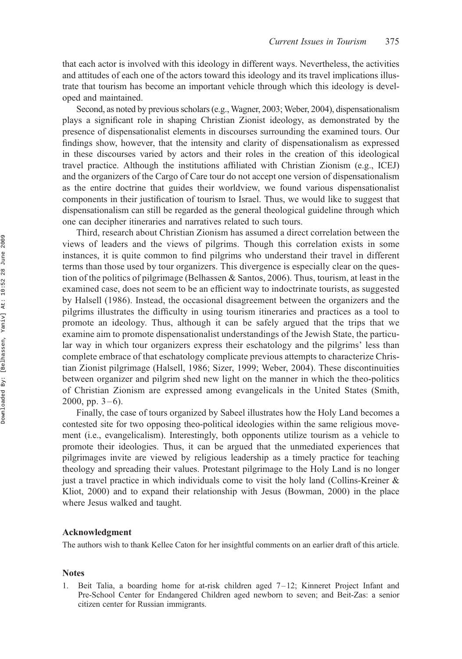that each actor is involved with this ideology in different ways. Nevertheless, the activities and attitudes of each one of the actors toward this ideology and its travel implications illustrate that tourism has become an important vehicle through which this ideology is developed and maintained.

Second, as noted by previous scholars (e.g., Wagner, 2003; Weber, 2004), dispensationalism plays a significant role in shaping Christian Zionist ideology, as demonstrated by the presence of dispensationalist elements in discourses surrounding the examined tours. Our findings show, however, that the intensity and clarity of dispensationalism as expressed in these discourses varied by actors and their roles in the creation of this ideological travel practice. Although the institutions affiliated with Christian Zionism (e.g., ICEJ) and the organizers of the Cargo of Care tour do not accept one version of dispensationalism as the entire doctrine that guides their worldview, we found various dispensationalist components in their justification of tourism to Israel. Thus, we would like to suggest that dispensationalism can still be regarded as the general theological guideline through which one can decipher itineraries and narratives related to such tours.

Third, research about Christian Zionism has assumed a direct correlation between the views of leaders and the views of pilgrims. Though this correlation exists in some instances, it is quite common to find pilgrims who understand their travel in different terms than those used by tour organizers. This divergence is especially clear on the question of the politics of pilgrimage (Belhassen & Santos, 2006). Thus, tourism, at least in the examined case, does not seem to be an efficient way to indoctrinate tourists, as suggested by Halsell (1986). Instead, the occasional disagreement between the organizers and the pilgrims illustrates the difficulty in using tourism itineraries and practices as a tool to promote an ideology. Thus, although it can be safely argued that the trips that we examine aim to promote dispensationalist understandings of the Jewish State, the particular way in which tour organizers express their eschatology and the pilgrims' less than complete embrace of that eschatology complicate previous attempts to characterize Christian Zionist pilgrimage (Halsell, 1986; Sizer, 1999; Weber, 2004). These discontinuities between organizer and pilgrim shed new light on the manner in which the theo-politics of Christian Zionism are expressed among evangelicals in the United States (Smith, 2000, pp.  $3-6$ ).

Finally, the case of tours organized by Sabeel illustrates how the Holy Land becomes a contested site for two opposing theo-political ideologies within the same religious movement (i.e., evangelicalism). Interestingly, both opponents utilize tourism as a vehicle to promote their ideologies. Thus, it can be argued that the unmediated experiences that pilgrimages invite are viewed by religious leadership as a timely practice for teaching theology and spreading their values. Protestant pilgrimage to the Holy Land is no longer just a travel practice in which individuals come to visit the holy land (Collins-Kreiner & Kliot, 2000) and to expand their relationship with Jesus (Bowman, 2000) in the place where Jesus walked and taught.

# Acknowledgment

The authors wish to thank Kellee Caton for her insightful comments on an earlier draft of this article.

#### Notes

1. Beit Talia, a boarding home for at-risk children aged 7–12; Kinneret Project Infant and Pre-School Center for Endangered Children aged newborn to seven; and Beit-Zas: a senior citizen center for Russian immigrants.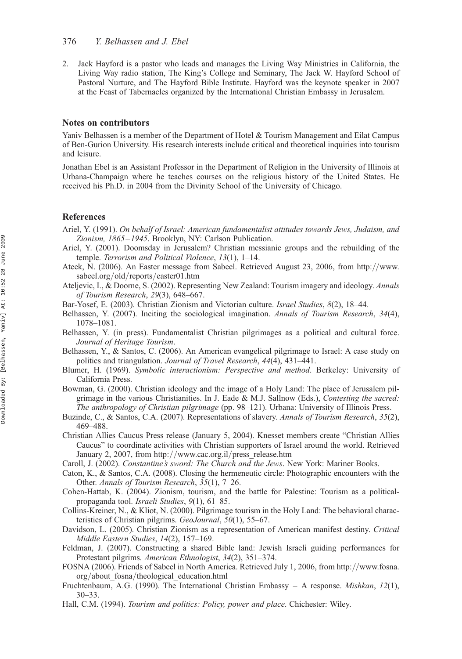2. Jack Hayford is a pastor who leads and manages the Living Way Ministries in California, the Living Way radio station, The King's College and Seminary, The Jack W. Hayford School of Pastoral Nurture, and The Hayford Bible Institute. Hayford was the keynote speaker in 2007 at the Feast of Tabernacles organized by the International Christian Embassy in Jerusalem.

#### Notes on contributors

Yaniv Belhassen is a member of the Department of Hotel & Tourism Management and Eilat Campus of Ben-Gurion University. His research interests include critical and theoretical inquiries into tourism and leisure.

Jonathan Ebel is an Assistant Professor in the Department of Religion in the University of Illinois at Urbana-Champaign where he teaches courses on the religious history of the United States. He received his Ph.D. in 2004 from the Divinity School of the University of Chicago.

### References

Ariel, Y. (1991). On behalf of Israel: American fundamentalist attitudes towards Jews, Judaism, and Zionism, 1865–1945. Brooklyn, NY: Carlson Publication.

- Ariel, Y. (2001). Doomsday in Jerusalem? Christian messianic groups and the rebuilding of the temple. Terrorism and Political Violence, 13(1), 1–14.
- Ateek, N. (2006). An Easter message from Sabeel. Retrieved August 23, 2006, from http://www. sabeel.org/old/reports/easter01.htm
- Ateljevic, I., & Doorne, S. (2002). Representing New Zealand: Tourism imagery and ideology. Annals of Tourism Research, 29(3), 648–667.
- Bar-Yosef, E. (2003). Christian Zionism and Victorian culture. Israel Studies, 8(2), 18–44.
- Belhassen, Y. (2007). Inciting the sociological imagination. Annals of Tourism Research, 34(4), 1078–1081.
- Belhassen, Y. (in press). Fundamentalist Christian pilgrimages as a political and cultural force. Journal of Heritage Tourism.
- Belhassen, Y., & Santos, C. (2006). An American evangelical pilgrimage to Israel: A case study on politics and triangulation. Journal of Travel Research, 44(4), 431–441.
- Blumer, H. (1969). Symbolic interactionism: Perspective and method. Berkeley: University of California Press.
- Bowman, G. (2000). Christian ideology and the image of a Holy Land: The place of Jerusalem pilgrimage in the various Christianities. In J. Eade & M.J. Sallnow (Eds.), Contesting the sacred: The anthropology of Christian pilgrimage (pp. 98–121). Urbana: University of Illinois Press.
- Buzinde, C., & Santos, C.A. (2007). Representations of slavery. Annals of Tourism Research, 35(2), 469–488.
- Christian Allies Caucus Press release (January 5, 2004). Knesset members create "Christian Allies Caucus" to coordinate activities with Christian supporters of Israel around the world. Retrieved January 2, 2007, from http://www.cac.org.il/press\_release.htm
- Caroll, J. (2002). Constantine's sword: The Church and the Jews. New York: Mariner Books.
- Caton, K., & Santos, C.A. (2008). Closing the hermeneutic circle: Photographic encounters with the Other. Annals of Tourism Research, 35(1), 7–26.
- Cohen-Hattab, K. (2004). Zionism, tourism, and the battle for Palestine: Tourism as a politicalpropaganda tool. Israeli Studies, 9(1), 61–85.
- Collins-Kreiner, N., & Kliot, N. (2000). Pilgrimage tourism in the Holy Land: The behavioral characteristics of Christian pilgrims. GeoJournal, 50(1), 55–67.
- Davidson, L. (2005). Christian Zionism as a representation of American manifest destiny. Critical Middle Eastern Studies, 14(2), 157–169.
- Feldman, J. (2007). Constructing a shared Bible land: Jewish Israeli guiding performances for Protestant pilgrims. American Ethnologist, 34(2), 351–374.
- FOSNA (2006). Friends of Sabeel in North America. Retrieved July 1, 2006, from http://www.fosna. org/about\_fosna/theological\_education.html
- Fruchtenbaum, A.G. (1990). The International Christian Embassy A response. Mishkan, 12(1), 30–33.
- Hall, C.M. (1994). Tourism and politics: Policy, power and place. Chichester: Wiley.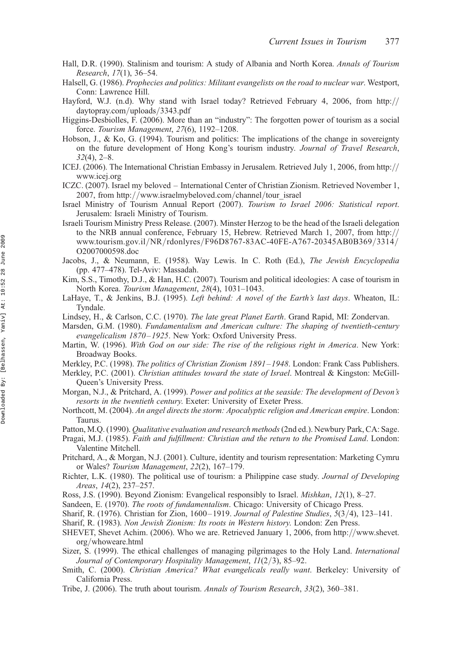- Hall, D.R. (1990). Stalinism and tourism: A study of Albania and North Korea. Annals of Tourism Research, 17(1), 36–54.
- Halsell, G. (1986). Prophecies and politics: Militant evangelists on the road to nuclear war. Westport, Conn: Lawrence Hill.
- Hayford, W.J. (n.d). Why stand with Israel today? Retrieved February 4, 2006, from http:// daytopray.com/uploads/3343.pdf
- Higgins-Desbiolles, F. (2006). More than an "industry": The forgotten power of tourism as a social force. Tourism Management, 27(6), 1192–1208.
- Hobson, J., & Ko, G. (1994). Tourism and politics: The implications of the change in sovereignty on the future development of Hong Kong's tourism industry. Journal of Travel Research,  $32(4)$ ,  $2-8$ .
- ICEJ. (2006). The International Christian Embassy in Jerusalem. Retrieved July 1, 2006, from http:// www.icej.org
- ICZC. (2007). Israel my beloved International Center of Christian Zionism. Retrieved November 1, 2007, from http://www.israelmybeloved.com/channel/tour\_israel
- Israel Ministry of Tourism Annual Report (2007). Tourism to Israel 2006: Statistical report. Jerusalem: Israeli Ministry of Tourism.
- Israeli Tourism Ministry Press Release. (2007). Minster Herzog to be the head of the Israeli delegation to the NRB annual conference, February 15, Hebrew. Retrieved March 1, 2007, from http:// www.tourism.gov.il/NR/rdonlyres/F96D8767-83AC-40FE-A767-20345AB0B369/3314/ O2007000598.doc
- Jacobs, J., & Neumann, E. (1958). Way Lewis. In C. Roth (Ed.), The Jewish Encyclopedia (pp. 477–478). Tel-Aviv: Massadah.
- Kim, S.S., Timothy, D.J., & Han, H.C. (2007). Tourism and political ideologies: A case of tourism in North Korea. Tourism Management, 28(4), 1031–1043.
- LaHaye, T., & Jenkins, B.J. (1995). Left behind: A novel of the Earth's last days. Wheaton, IL: Tyndale.
- Lindsey, H., & Carlson, C.C. (1970). The late great Planet Earth. Grand Rapid, MI: Zondervan.
- Marsden, G.M. (1980). Fundamentalism and American culture: The shaping of twentieth-century evangelicalism 1870–1925. New York: Oxford University Press.
- Martin, W. (1996). With God on our side: The rise of the religious right in America. New York: Broadway Books.
- Merkley, P.C. (1998). The politics of Christian Zionism 1891–1948. London: Frank Cass Publishers.
- Merkley, P.C. (2001). Christian attitudes toward the state of Israel. Montreal & Kingston: McGill-Queen's University Press.
- Morgan, N.J., & Pritchard, A. (1999). Power and politics at the seaside: The development of Devon's resorts in the twentieth century. Exeter: University of Exeter Press.
- Northcott, M. (2004). An angel directs the storm: Apocalyptic religion and American empire. London: Taurus.
- Patton, M.Q. (1990). Qualitative evaluation and research methods(2nd ed.). Newbury Park, CA: Sage.
- Pragai, M.J. (1985). Faith and fulfillment: Christian and the return to the Promised Land. London: Valentine Mitchell.
- Pritchard, A., & Morgan, N.J. (2001). Culture, identity and tourism representation: Marketing Cymru or Wales? Tourism Management, 22(2), 167–179.
- Richter, L.K. (1980). The political use of tourism: a Philippine case study. Journal of Developing Areas, 14(2), 237–257.
- Ross, J.S. (1990). Beyond Zionism: Evangelical responsibly to Israel. Mishkan, 12(1), 8–27.
- Sandeen, E. (1970). The roots of fundamentalism. Chicago: University of Chicago Press.
- Sharif, R. (1976). Christian for Zion, 1600–1919. Journal of Palestine Studies, 5(3/4), 123–141.
- Sharif, R. (1983). Non Jewish Zionism: Its roots in Western history. London: Zen Press.
- SHEVET, Shevet Achim. (2006). Who we are. Retrieved January 1, 2006, from http://www.shevet. org/whoweare.html
- Sizer, S. (1999). The ethical challenges of managing pilgrimages to the Holy Land. International Journal of Contemporary Hospitality Management, 11(2/3), 85–92.
- Smith, C. (2000). Christian America? What evangelicals really want. Berkeley: University of California Press.
- Tribe, J. (2006). The truth about tourism. Annals of Tourism Research, 33(2), 360–381.